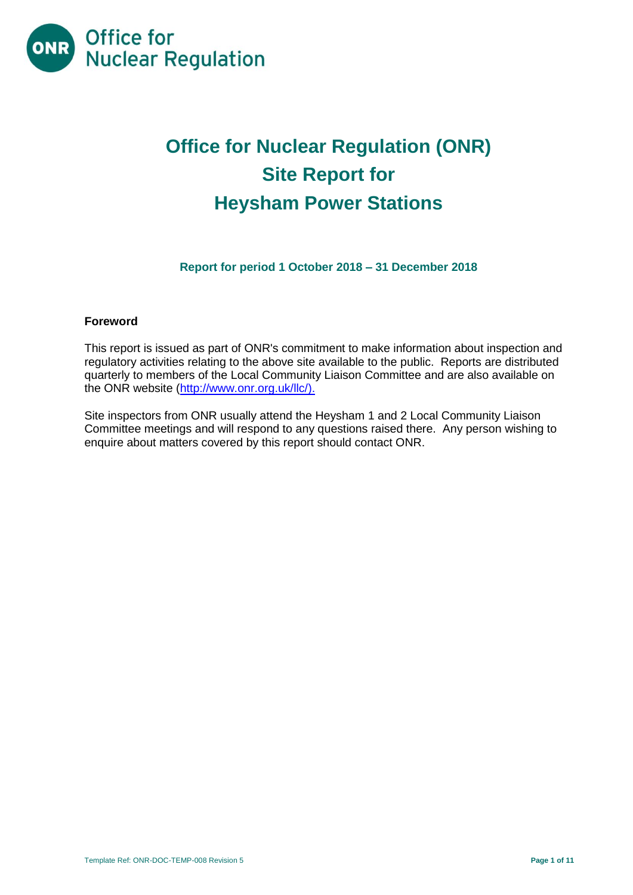

# **Office for Nuclear Regulation (ONR) Site Report for Heysham Power Stations**

**Report for period 1 October 2018 – 31 December 2018**

#### **Foreword**

This report is issued as part of ONR's commitment to make information about inspection and regulatory activities relating to the above site available to the public. Reports are distributed quarterly to members of the Local Community Liaison Committee and are also available on the ONR website [\(http://www.onr.org.uk/llc/\)](http://www.onr.org.uk/llc/).

Site inspectors from ONR usually attend the Heysham 1 and 2 Local Community Liaison Committee meetings and will respond to any questions raised there. Any person wishing to enquire about matters covered by this report should contact ONR.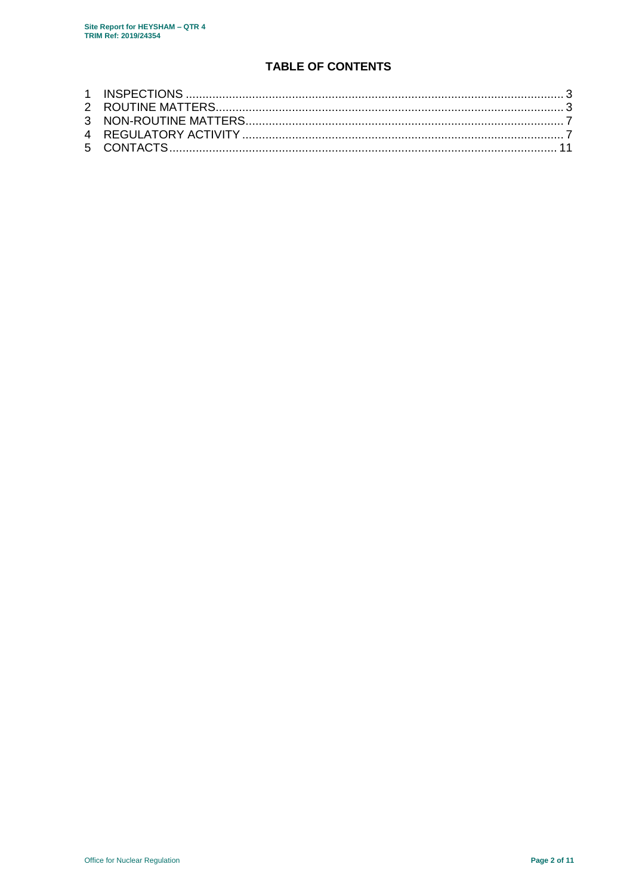# **TABLE OF CONTENTS**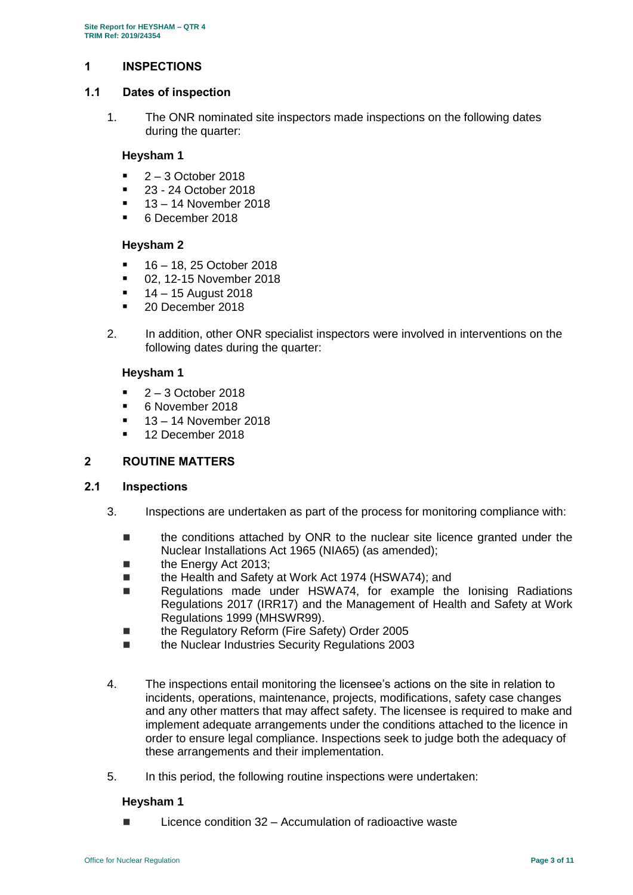## <span id="page-2-0"></span>**1 INSPECTIONS**

#### **1.1 Dates of inspection**

1. The ONR nominated site inspectors made inspections on the following dates during the quarter:

#### **Heysham 1**

- 2 3 October 2018
- 23 24 October 2018
- 13 14 November 2018
- 6 December 2018

#### **Heysham 2**

- $16 18$ , 25 October 2018
- 02, 12-15 November 2018
- 14 15 August 2018
- 20 December 2018
- 2. In addition, other ONR specialist inspectors were involved in interventions on the following dates during the quarter:

#### **Heysham 1**

- 2 3 October 2018
- 6 November 2018
- $13 14$  November 2018
- <sup>1</sup> 12 December 2018

#### <span id="page-2-1"></span>**2 ROUTINE MATTERS**

#### **2.1 Inspections**

- 3. Inspections are undertaken as part of the process for monitoring compliance with:
	- the conditions attached by ONR to the nuclear site licence granted under the Nuclear Installations Act 1965 (NIA65) (as amended);
	- the Energy Act 2013;
	- the Health and Safety at Work Act 1974 (HSWA74); and
	- Regulations made under HSWA74, for example the Ionising Radiations Regulations 2017 (IRR17) and the Management of Health and Safety at Work Regulations 1999 (MHSWR99).
	- the Regulatory Reform (Fire Safety) Order 2005
	- the Nuclear Industries Security Regulations 2003
- 4. The inspections entail monitoring the licensee's actions on the site in relation to incidents, operations, maintenance, projects, modifications, safety case changes and any other matters that may affect safety. The licensee is required to make and implement adequate arrangements under the conditions attached to the licence in order to ensure legal compliance. Inspections seek to judge both the adequacy of these arrangements and their implementation.
- 5. In this period, the following routine inspections were undertaken:

#### **Heysham 1**

 $\blacksquare$  Licence condition 32 – Accumulation of radioactive waste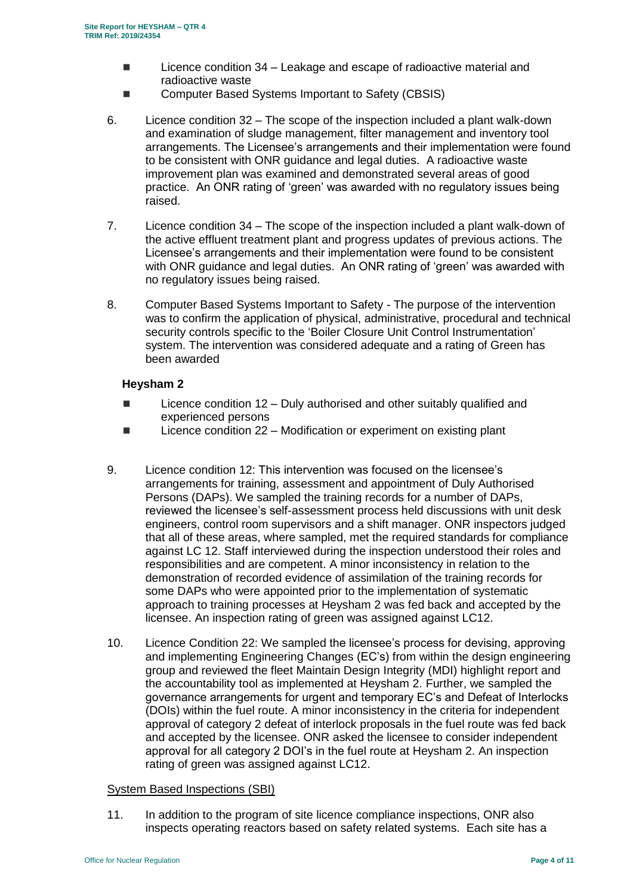- $\blacksquare$  Licence condition 34 Leakage and escape of radioactive material and radioactive waste
- Computer Based Systems Important to Safety (CBSIS)
- 6. Licence condition 32 The scope of the inspection included a plant walk-down and examination of sludge management, filter management and inventory tool arrangements. The Licensee's arrangements and their implementation were found to be consistent with ONR guidance and legal duties. A radioactive waste improvement plan was examined and demonstrated several areas of good practice. An ONR rating of 'green' was awarded with no regulatory issues being raised.
- 7. Licence condition 34 The scope of the inspection included a plant walk-down of the active effluent treatment plant and progress updates of previous actions. The Licensee's arrangements and their implementation were found to be consistent with ONR guidance and legal duties. An ONR rating of 'green' was awarded with no regulatory issues being raised.
- 8. Computer Based Systems Important to Safety The purpose of the intervention was to confirm the application of physical, administrative, procedural and technical security controls specific to the 'Boiler Closure Unit Control Instrumentation' system. The intervention was considered adequate and a rating of Green has been awarded

#### **Heysham 2**

- $\blacksquare$  Licence condition 12 Duly authorised and other suitably qualified and experienced persons
- Licence condition 22 Modification or experiment on existing plant
- 9. Licence condition 12: This intervention was focused on the licensee's arrangements for training, assessment and appointment of Duly Authorised Persons (DAPs). We sampled the training records for a number of DAPs, reviewed the licensee's self-assessment process held discussions with unit desk engineers, control room supervisors and a shift manager. ONR inspectors judged that all of these areas, where sampled, met the required standards for compliance against LC 12. Staff interviewed during the inspection understood their roles and responsibilities and are competent. A minor inconsistency in relation to the demonstration of recorded evidence of assimilation of the training records for some DAPs who were appointed prior to the implementation of systematic approach to training processes at Heysham 2 was fed back and accepted by the licensee. An inspection rating of green was assigned against LC12.
- 10. Licence Condition 22: We sampled the licensee's process for devising, approving and implementing Engineering Changes (EC's) from within the design engineering group and reviewed the fleet Maintain Design Integrity (MDI) highlight report and the accountability tool as implemented at Heysham 2. Further, we sampled the governance arrangements for urgent and temporary EC's and Defeat of Interlocks (DOIs) within the fuel route. A minor inconsistency in the criteria for independent approval of category 2 defeat of interlock proposals in the fuel route was fed back and accepted by the licensee. ONR asked the licensee to consider independent approval for all category 2 DOI's in the fuel route at Heysham 2. An inspection rating of green was assigned against LC12.

#### System Based Inspections (SBI)

11. In addition to the program of site licence compliance inspections, ONR also inspects operating reactors based on safety related systems. Each site has a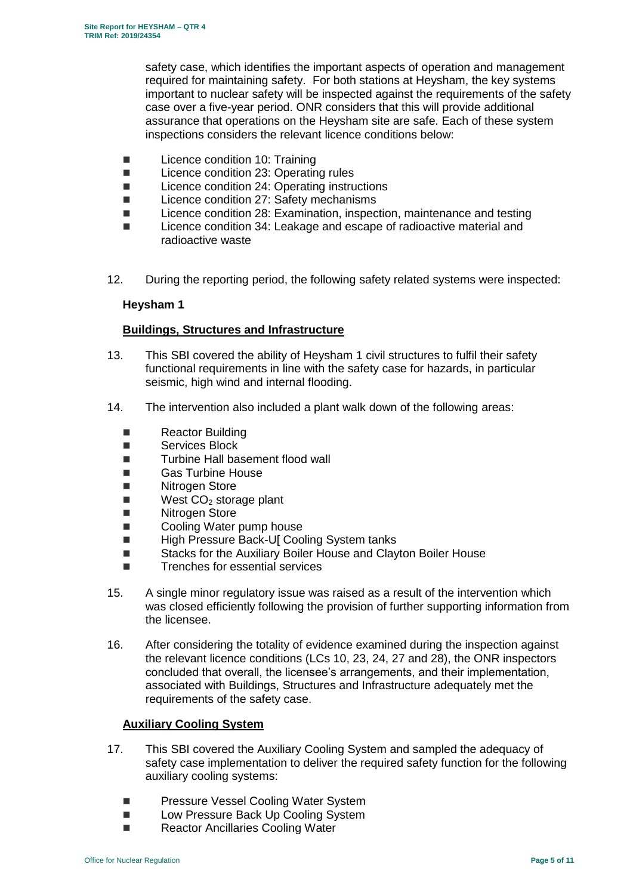safety case, which identifies the important aspects of operation and management required for maintaining safety. For both stations at Heysham, the key systems important to nuclear safety will be inspected against the requirements of the safety case over a five-year period. ONR considers that this will provide additional assurance that operations on the Heysham site are safe. Each of these system inspections considers the relevant licence conditions below:

- Licence condition 10: Training
- Licence condition 23: Operating rules
- Licence condition 24: Operating instructions
- Licence condition 27: Safety mechanisms
- Licence condition 28: Examination, inspection, maintenance and testing
- Licence condition 34: Leakage and escape of radioactive material and radioactive waste
- 12. During the reporting period, the following safety related systems were inspected:

#### **Heysham 1**

## **Buildings, Structures and Infrastructure**

- 13. This SBI covered the ability of Heysham 1 civil structures to fulfil their safety functional requirements in line with the safety case for hazards, in particular seismic, high wind and internal flooding.
- 14. The intervention also included a plant walk down of the following areas:
	- **Reactor Building**
	- Services Block
	- Turbine Hall basement flood wall
	- Gas Turbine House
	- Nitrogen Store
	- $\blacksquare$  West  $CO<sub>2</sub>$  storage plant
	- Nitrogen Store
	- Cooling Water pump house
	- High Pressure Back-U[ Cooling System tanks
	- Stacks for the Auxiliary Boiler House and Clayton Boiler House
	- Trenches for essential services
- 15. A single minor regulatory issue was raised as a result of the intervention which was closed efficiently following the provision of further supporting information from the licensee.
- 16. After considering the totality of evidence examined during the inspection against the relevant licence conditions (LCs 10, 23, 24, 27 and 28), the ONR inspectors concluded that overall, the licensee's arrangements, and their implementation, associated with Buildings, Structures and Infrastructure adequately met the requirements of the safety case.

#### **Auxiliary Cooling System**

- 17. This SBI covered the Auxiliary Cooling System and sampled the adequacy of safety case implementation to deliver the required safety function for the following auxiliary cooling systems:
	- **Pressure Vessel Cooling Water System**
	- **Low Pressure Back Up Cooling System**
	- Reactor Ancillaries Cooling Water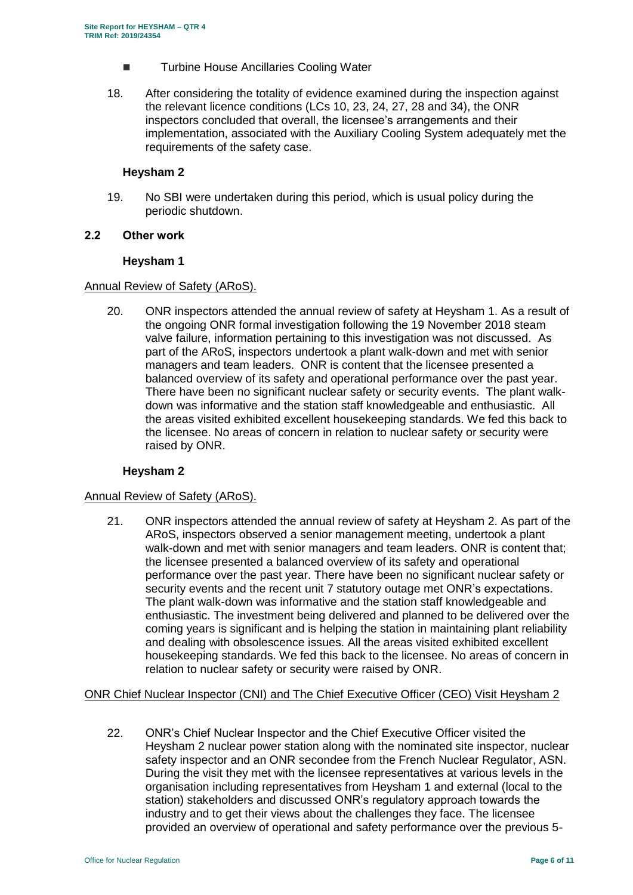- Turbine House Ancillaries Cooling Water
- 18. After considering the totality of evidence examined during the inspection against the relevant licence conditions (LCs 10, 23, 24, 27, 28 and 34), the ONR inspectors concluded that overall, the licensee's arrangements and their implementation, associated with the Auxiliary Cooling System adequately met the requirements of the safety case.

#### **Heysham 2**

19. No SBI were undertaken during this period, which is usual policy during the periodic shutdown.

#### **2.2 Other work**

#### **Heysham 1**

#### Annual Review of Safety (ARoS).

20. ONR inspectors attended the annual review of safety at Heysham 1. As a result of the ongoing ONR formal investigation following the 19 November 2018 steam valve failure, information pertaining to this investigation was not discussed. As part of the ARoS, inspectors undertook a plant walk-down and met with senior managers and team leaders. ONR is content that the licensee presented a balanced overview of its safety and operational performance over the past year. There have been no significant nuclear safety or security events. The plant walkdown was informative and the station staff knowledgeable and enthusiastic. All the areas visited exhibited excellent housekeeping standards. We fed this back to the licensee. No areas of concern in relation to nuclear safety or security were raised by ONR.

#### **Heysham 2**

#### Annual Review of Safety (ARoS).

21. ONR inspectors attended the annual review of safety at Heysham 2. As part of the ARoS, inspectors observed a senior management meeting, undertook a plant walk-down and met with senior managers and team leaders. ONR is content that; the licensee presented a balanced overview of its safety and operational performance over the past year. There have been no significant nuclear safety or security events and the recent unit 7 statutory outage met ONR's expectations. The plant walk-down was informative and the station staff knowledgeable and enthusiastic. The investment being delivered and planned to be delivered over the coming years is significant and is helping the station in maintaining plant reliability and dealing with obsolescence issues. All the areas visited exhibited excellent housekeeping standards. We fed this back to the licensee. No areas of concern in relation to nuclear safety or security were raised by ONR.

#### ONR Chief Nuclear Inspector (CNI) and The Chief Executive Officer (CEO) Visit Heysham 2

22. ONR's Chief Nuclear Inspector and the Chief Executive Officer visited the Heysham 2 nuclear power station along with the nominated site inspector, nuclear safety inspector and an ONR secondee from the French Nuclear Regulator, ASN. During the visit they met with the licensee representatives at various levels in the organisation including representatives from Heysham 1 and external (local to the station) stakeholders and discussed ONR's regulatory approach towards the industry and to get their views about the challenges they face. The licensee provided an overview of operational and safety performance over the previous 5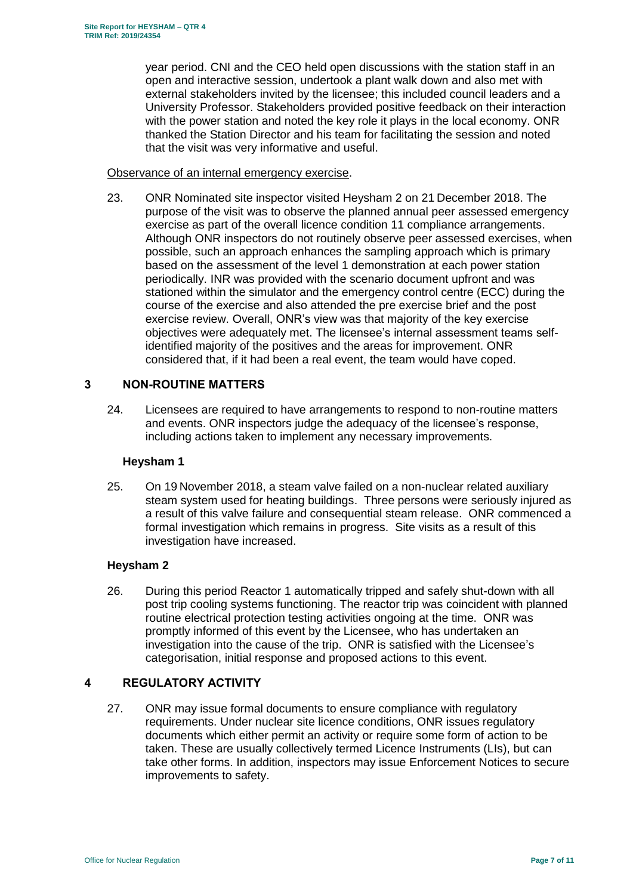year period. CNI and the CEO held open discussions with the station staff in an open and interactive session, undertook a plant walk down and also met with external stakeholders invited by the licensee; this included council leaders and a University Professor. Stakeholders provided positive feedback on their interaction with the power station and noted the key role it plays in the local economy. ONR thanked the Station Director and his team for facilitating the session and noted that the visit was very informative and useful.

#### Observance of an internal emergency exercise.

23. ONR Nominated site inspector visited Heysham 2 on 21 December 2018. The purpose of the visit was to observe the planned annual peer assessed emergency exercise as part of the overall licence condition 11 compliance arrangements. Although ONR inspectors do not routinely observe peer assessed exercises, when possible, such an approach enhances the sampling approach which is primary based on the assessment of the level 1 demonstration at each power station periodically. INR was provided with the scenario document upfront and was stationed within the simulator and the emergency control centre (ECC) during the course of the exercise and also attended the pre exercise brief and the post exercise review. Overall, ONR's view was that majority of the key exercise objectives were adequately met. The licensee's internal assessment teams selfidentified majority of the positives and the areas for improvement. ONR considered that, if it had been a real event, the team would have coped.

#### <span id="page-6-0"></span>**3 NON-ROUTINE MATTERS**

24. Licensees are required to have arrangements to respond to non-routine matters and events. ONR inspectors judge the adequacy of the licensee's response, including actions taken to implement any necessary improvements.

#### **Heysham 1**

25. On 19 November 2018, a steam valve failed on a non-nuclear related auxiliary steam system used for heating buildings. Three persons were seriously injured as a result of this valve failure and consequential steam release. ONR commenced a formal investigation which remains in progress. Site visits as a result of this investigation have increased.

## **Heysham 2**

26. During this period Reactor 1 automatically tripped and safely shut-down with all post trip cooling systems functioning. The reactor trip was coincident with planned routine electrical protection testing activities ongoing at the time. ONR was promptly informed of this event by the Licensee, who has undertaken an investigation into the cause of the trip. ONR is satisfied with the Licensee's categorisation, initial response and proposed actions to this event.

## <span id="page-6-1"></span>**4 REGULATORY ACTIVITY**

27. ONR may issue formal documents to ensure compliance with regulatory requirements. Under nuclear site licence conditions, ONR issues regulatory documents which either permit an activity or require some form of action to be taken. These are usually collectively termed Licence Instruments (LIs), but can take other forms. In addition, inspectors may issue Enforcement Notices to secure improvements to safety.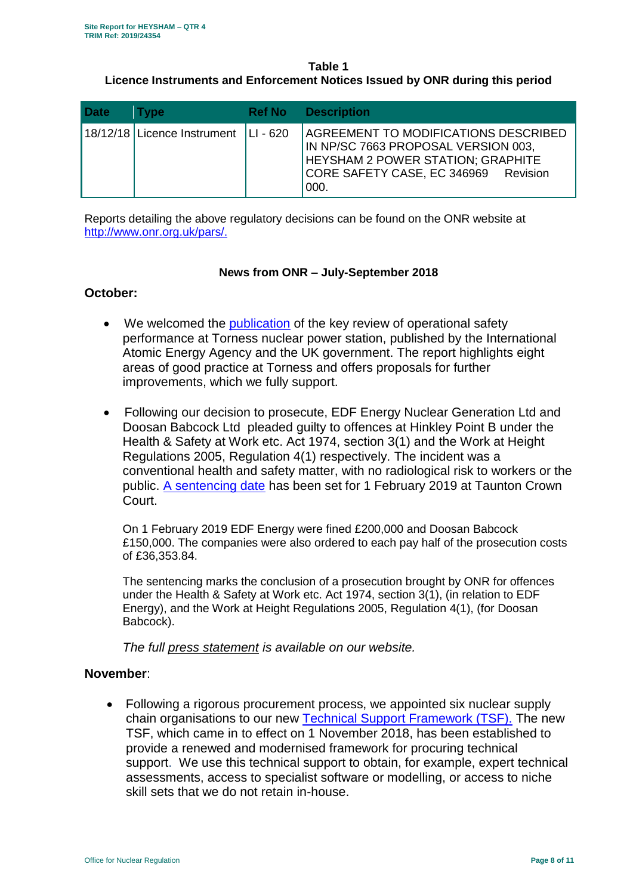## **Table 1 Licence Instruments and Enforcement Notices Issued by ONR during this period**

| <b>Date</b> | Tvpe                                   | <b>Ref No</b> | <b>Description</b>                                                                                                                                                      |
|-------------|----------------------------------------|---------------|-------------------------------------------------------------------------------------------------------------------------------------------------------------------------|
|             | 18/12/18 Licence Instrument   LI - 620 |               | AGREEMENT TO MODIFICATIONS DESCRIBED<br>IN NP/SC 7663 PROPOSAL VERSION 003,<br><b>HEYSHAM 2 POWER STATION; GRAPHITE</b><br>CORE SAFETY CASE, EC 346969 Revision<br>000. |

Reports detailing the above regulatory decisions can be found on the ONR website at [http://www.onr.org.uk/pars/.](http://www.onr.org.uk/pars/)

## **News from ONR – July-September 2018**

# **October:**

- We welcomed the [publication](http://news.onr.org.uk/2018/10/iaea-review-torness-power-station/) of the key review of operational safety performance at Torness nuclear power station, published by the International Atomic Energy Agency and the UK government. The report highlights eight areas of good practice at Torness and offers proposals for further improvements, which we fully support.
- Following our decision to prosecute, EDF Energy Nuclear Generation Ltd and Doosan Babcock Ltd pleaded guilty to offences at Hinkley Point B under the Health & Safety at Work etc. Act 1974, section 3(1) and the Work at Height Regulations 2005, Regulation 4(1) respectively. The incident was a conventional health and safety matter, with no radiological risk to workers or the public. [A sentencing date](http://news.onr.org.uk/2018/10/edf-and-doosan-babcock-plead-guilty/) has been set for 1 February 2019 at Taunton Crown Court.

On 1 February 2019 EDF Energy were fined £200,000 and Doosan Babcock £150,000. The companies were also ordered to each pay half of the prosecution costs of £36,353.84.

The sentencing marks the conclusion of a prosecution brought by ONR for offences under the Health & Safety at Work etc. Act 1974, section 3(1), (in relation to EDF Energy), and the Work at Height Regulations 2005, Regulation 4(1), (for Doosan Babcock).

*The full [press statement](http://news.onr.org.uk/2019/02/companies-fined-for-health-and-safety-breaches/) is available on our website.*

# **November**:

 Following a rigorous procurement process, we appointed six nuclear supply chain organisations to our new [Technical Support Framework \(TSF\).](http://news.onr.org.uk/2018/11/new-technical-support-framework-announced/) The new TSF, which came in to effect on 1 November 2018, has been established to provide a renewed and modernised framework for procuring technical support. We use this technical support to obtain, for example, expert technical assessments, access to specialist software or modelling, or access to niche skill sets that we do not retain in-house.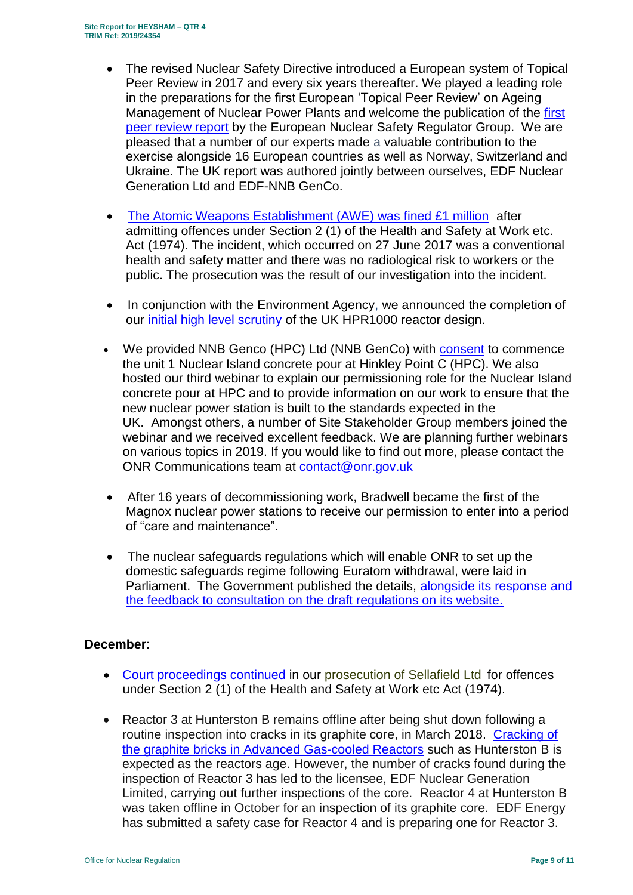- The revised Nuclear Safety Directive introduced a European system of Topical Peer Review in 2017 and every six years thereafter. We played a leading role in the preparations for the first European 'Topical Peer Review' on Ageing Management of Nuclear Power Plants and welcome the publication of the [first](http://news.onr.org.uk/2018/11/onr-welcomes-first-topical-peer-review/)  [peer review report](http://news.onr.org.uk/2018/11/onr-welcomes-first-topical-peer-review/) by the European Nuclear Safety Regulator Group. We are pleased that a number of our experts made a valuable contribution to the exercise alongside 16 European countries as well as Norway, Switzerland and Ukraine. The UK report was authored jointly between ourselves, EDF Nuclear Generation Ltd and EDF-NNB GenCo.
- [The Atomic Weapons Establishment \(AWE\) was fined £1 million](http://news.onr.org.uk/2018/11/awe-prosecution-reaction/) after admitting offences under Section 2 (1) of the Health and Safety at Work etc. Act (1974). The incident, which occurred on 27 June 2017 was a conventional health and safety matter and there was no radiological risk to workers or the public. The prosecution was the result of our investigation into the incident.
- In conjunction with the Environment Agency, we announced the completion of our [initial high level scrutiny](http://news.onr.org.uk/2018/11/uk-hpr1000-completes-gda-step-2/) of the UK HPR1000 reactor design.
- We provided NNB Genco (HPC) Ltd (NNB GenCo) with [consent](http://news.onr.org.uk/2018/11/consent-for-hinkley-point-c-nuclear-island-concrete-pour/) to commence the unit 1 Nuclear Island concrete pour at Hinkley Point C (HPC). We also hosted our third webinar to explain our permissioning role for the Nuclear Island concrete pour at HPC and to provide information on our work to ensure that the new nuclear power station is built to the standards expected in the UK. Amongst others, a number of Site Stakeholder Group members joined the webinar and we received excellent feedback. We are planning further webinars on various topics in 2019. If you would like to find out more, please contact the ONR Communications team at [contact@onr.gov.uk](mailto:contact@onr.gov.uk)
- After 16 years of decommissioning work, Bradwell became the first of the Magnox nuclear power stations to receive our permission to enter into a period of "care and maintenance".
- The nuclear safeguards regulations which will enable ONR to set up the domestic safeguards regime following Euratom withdrawal, were laid in Parliament. The Government published the details, alongside its response and [the feedback to consultation on the draft regulations on its website.](https://www.gov.uk/government/consultations/nuclear-safeguards-regulations)

## **December**:

- [Court proceedings continued](http://news.onr.org.uk/2018/12/prosecution-of-sellafield-ltd/) in our [prosecution of Sellafield Ltd](http://news.onr.org.uk/2018/07/update-prosecution-of-sellafield-ltd/) for offences under Section 2 (1) of the Health and Safety at Work etc Act (1974).
- Reactor 3 at Hunterston B remains offline after being shut down following a routine inspection into cracks in its graphite core, in March 2018. [Cracking of](http://www.onr.org.uk/civil-nuclear-reactors/graphite-core-of-agrs.htm)  the graphite [bricks in Advanced Gas-cooled Reactors](http://www.onr.org.uk/civil-nuclear-reactors/graphite-core-of-agrs.htm) such as Hunterston B is expected as the reactors age. However, the number of cracks found during the inspection of Reactor 3 has led to the licensee, EDF Nuclear Generation Limited, carrying out further inspections of the core. Reactor 4 at Hunterston B was taken offline in October for an inspection of its graphite core. EDF Energy has submitted a safety case for Reactor 4 and is preparing one for Reactor 3.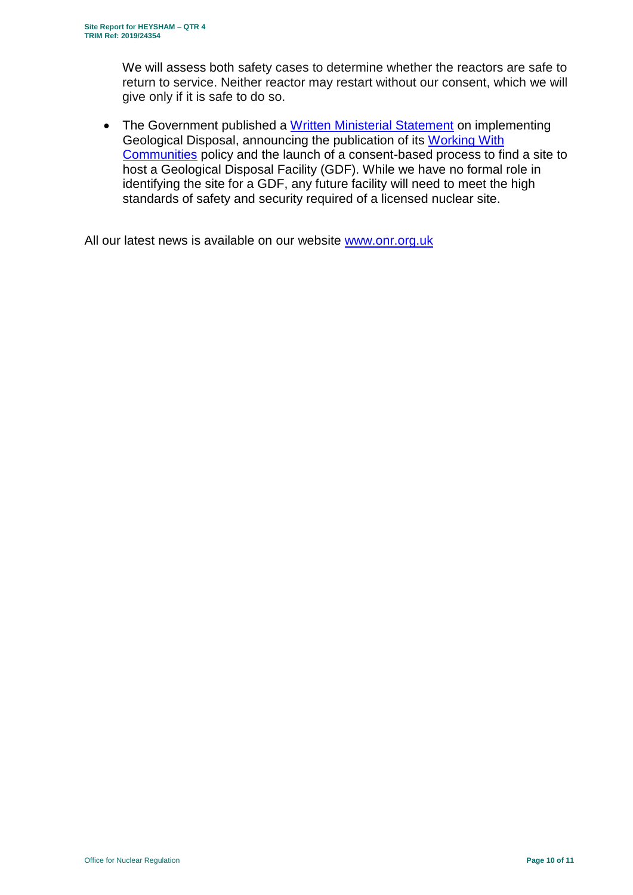We will assess both safety cases to determine whether the reactors are safe to return to service. Neither reactor may restart without our consent, which we will give only if it is safe to do so.

• The Government published a [Written Ministerial Statement](https://www.parliament.uk/business/publications/written-questions-answers-statements/written-statement/Commons/2018-12-19/HCWS1217/) on implementing Geological Disposal, announcing the publication of its [Working With](https://www.gov.uk/government/publications/implementing-geological-disposal-working-with-communities-long-term-management-of-higher-activity-radioactive-waste)  [Communities](https://www.gov.uk/government/publications/implementing-geological-disposal-working-with-communities-long-term-management-of-higher-activity-radioactive-waste) policy and the launch of a consent-based process to find a site to host a Geological Disposal Facility (GDF). While we have no formal role in identifying the site for a GDF, any future facility will need to meet the high standards of safety and security required of a licensed nuclear site.

All our latest news is available on our website [www.onr.org.uk](http://www.onr.org.uk/)